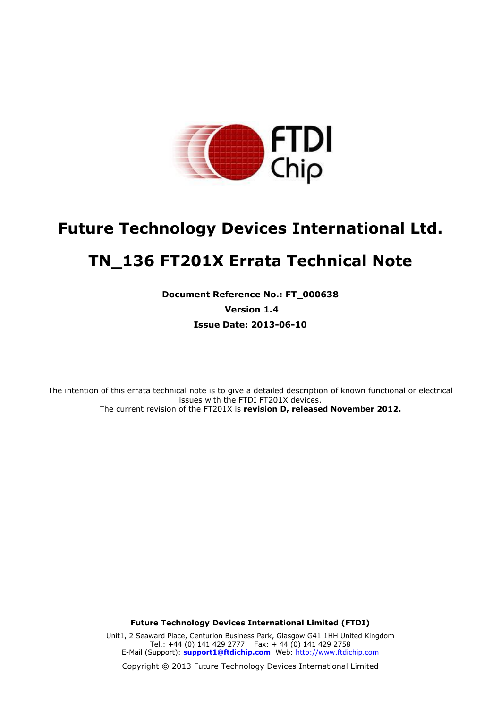

# **Future Technology Devices International Ltd. TN\_136 FT201X Errata Technical Note**

**Document Reference No.: FT\_000638 Version 1.4 Issue Date: 2013-06-10**

The intention of this errata technical note is to give a detailed description of known functional or electrical issues with the FTDI FT201X devices. The current revision of the FT201X is **revision D, released November 2012.**

**Future Technology Devices International Limited (FTDI)**

Unit1, 2 Seaward Place, Centurion Business Park, Glasgow G41 1HH United Kingdom Tel.: +44 (0) 141 429 2777 Fax: + 44 (0) 141 429 2758 E-Mail (Support): **support1@ftdichip.com** Web: http://www.ftdichip.com

Copyright © 2013 Future Technology Devices International Limited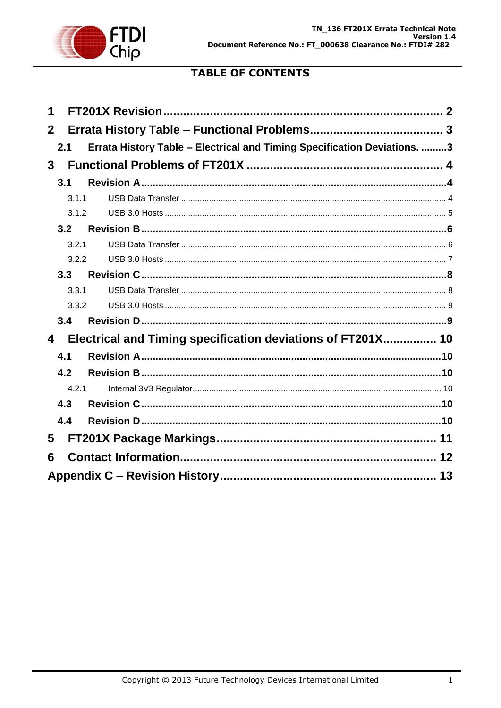

# **TABLE OF CONTENTS**

| 1            |       |                                                                          |  |
|--------------|-------|--------------------------------------------------------------------------|--|
| $\mathbf{2}$ |       |                                                                          |  |
|              | 2.1   | Errata History Table - Electrical and Timing Specification Deviations. 3 |  |
| 3            |       |                                                                          |  |
|              | 3.1   |                                                                          |  |
|              | 3.1.1 |                                                                          |  |
|              | 3.1.2 |                                                                          |  |
|              | 3.2   |                                                                          |  |
|              | 3.2.1 |                                                                          |  |
|              | 3.2.2 |                                                                          |  |
|              | 3.3   |                                                                          |  |
|              | 3.3.1 |                                                                          |  |
|              | 3.3.2 |                                                                          |  |
|              | 3.4   |                                                                          |  |
| 4            |       | Electrical and Timing specification deviations of FT201X 10              |  |
|              | 4.1   |                                                                          |  |
|              | 4.2   |                                                                          |  |
|              | 4.2.1 |                                                                          |  |
|              | 4.3   |                                                                          |  |
|              | 4.4   |                                                                          |  |
| 5            |       |                                                                          |  |
| 6            |       |                                                                          |  |
|              |       |                                                                          |  |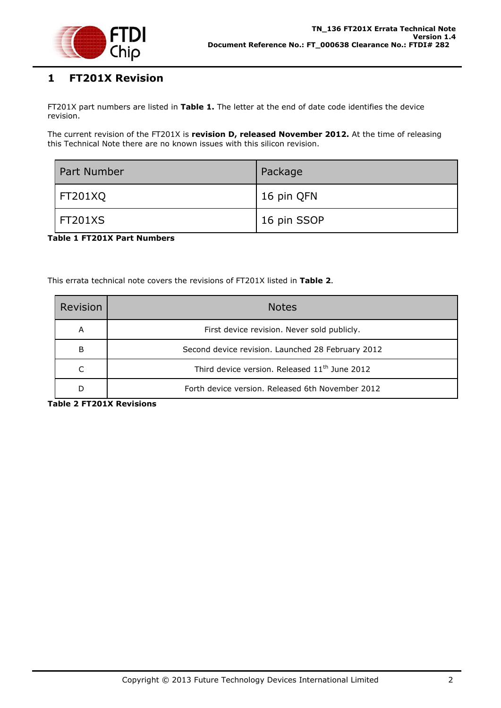

# <span id="page-2-0"></span>**1 FT201X Revision**

FT201X part numbers are listed in **[Table 1.](#page-2-1)** The letter at the end of date code identifies the device revision.

The current revision of the FT201X is **revision D, released November 2012.** At the time of releasing this Technical Note there are no known issues with this silicon revision.

| Part Number | Package     |
|-------------|-------------|
| FT201XQ     | 16 pin QFN  |
| FT201XS     | 16 pin SSOP |

<span id="page-2-1"></span>**Table 1 FT201X Part Numbers**

This errata technical note covers the revisions of FT201X listed in **[Table 2](#page-2-2)**.

| Revision | <b>Notes</b>                                              |
|----------|-----------------------------------------------------------|
| A        | First device revision. Never sold publicly.               |
| B        | Second device revision. Launched 28 February 2012         |
| C        | Third device version. Released 11 <sup>th</sup> June 2012 |
| D        | Forth device version. Released 6th November 2012          |

<span id="page-2-2"></span>**Table 2 FT201X Revisions**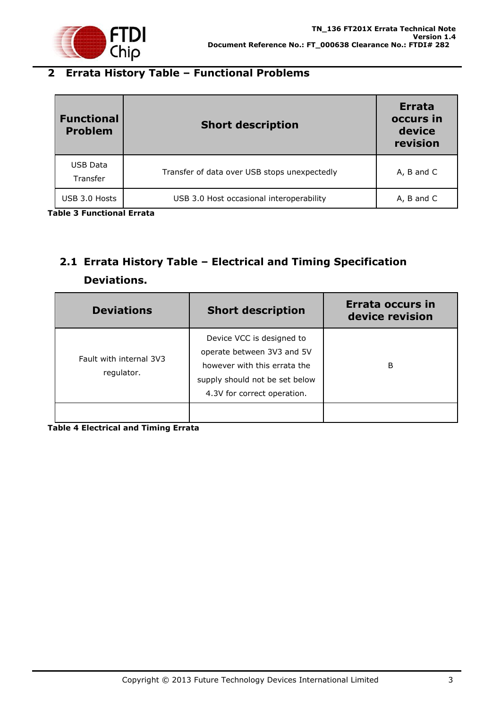

# <span id="page-3-0"></span>**2 Errata History Table – Functional Problems**

| <b>Functional</b><br><b>Problem</b> | <b>Short description</b>                     | <b>Errata</b><br>occurs in<br>device<br>revision |
|-------------------------------------|----------------------------------------------|--------------------------------------------------|
| USB Data<br>Transfer                | Transfer of data over USB stops unexpectedly | A, B and C                                       |
| USB 3.0 Hosts                       | USB 3.0 Host occasional interoperability     | A, B and C                                       |

**Table 3 Functional Errata**

# <span id="page-3-1"></span>**2.1 Errata History Table – Electrical and Timing Specification Deviations.**

| <b>Deviations</b>                     | <b>Short description</b>                                                                                                                                 | Errata occurs in<br>device revision |
|---------------------------------------|----------------------------------------------------------------------------------------------------------------------------------------------------------|-------------------------------------|
| Fault with internal 3V3<br>regulator. | Device VCC is designed to<br>operate between 3V3 and 5V<br>however with this errata the<br>supply should not be set below<br>4.3V for correct operation. | B                                   |
|                                       |                                                                                                                                                          |                                     |

**Table 4 Electrical and Timing Errata**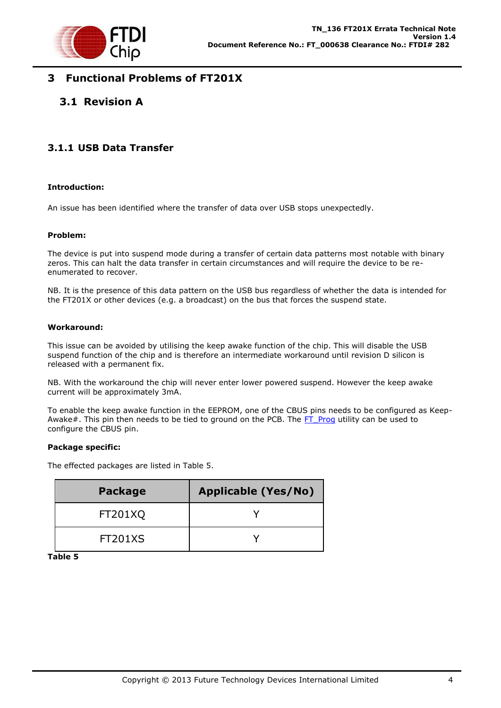

# <span id="page-4-0"></span>**3 Functional Problems of FT201X**

# <span id="page-4-1"></span>**3.1 Revision A**

### <span id="page-4-2"></span>**3.1.1 USB Data Transfer**

#### **Introduction:**

An issue has been identified where the transfer of data over USB stops unexpectedly.

#### **Problem:**

The device is put into suspend mode during a transfer of certain data patterns most notable with binary zeros. This can halt the data transfer in certain circumstances and will require the device to be reenumerated to recover.

NB. It is the presence of this data pattern on the USB bus regardless of whether the data is intended for the FT201X or other devices (e.g. a broadcast) on the bus that forces the suspend state.

#### **Workaround:**

This issue can be avoided by utilising the keep awake function of the chip. This will disable the USB suspend function of the chip and is therefore an intermediate workaround until revision D silicon is released with a permanent fix.

NB. With the workaround the chip will never enter lower powered suspend. However the keep awake current will be approximately 3mA.

To enable the keep awake function in the EEPROM, one of the CBUS pins needs to be configured as Keep-Awake#. This pin then needs to be tied to ground on the PCB. The [FT\\_Prog](http://www.ftdichip.com/Support/Utilities.htm) utility can be used to configure the CBUS pin.

#### **Package specific:**

The effected packages are listed in Table 5.

| <b>Package</b> | <b>Applicable (Yes/No)</b> |
|----------------|----------------------------|
| FT201XQ        |                            |
| FT201XS        |                            |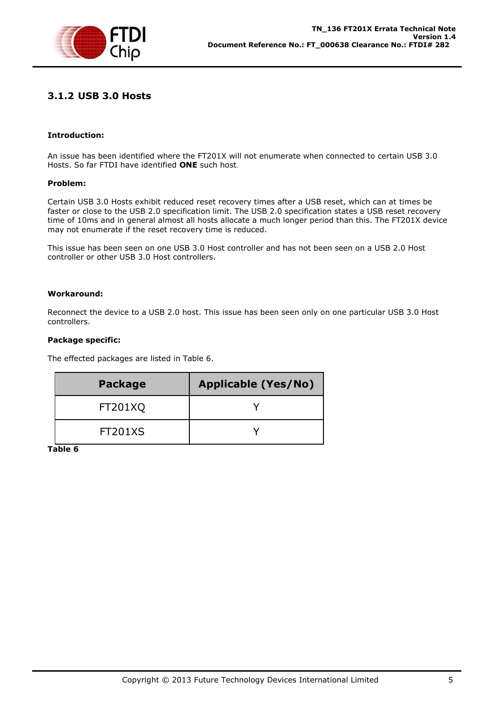

### <span id="page-5-0"></span>**3.1.2 USB 3.0 Hosts**

#### **Introduction:**

An issue has been identified where the FT201X will not enumerate when connected to certain USB 3.0 Hosts. So far FTDI have identified **ONE** such host.

#### **Problem:**

Certain USB 3.0 Hosts exhibit reduced reset recovery times after a USB reset, which can at times be faster or close to the USB 2.0 specification limit. The USB 2.0 specification states a USB reset recovery time of 10ms and in general almost all hosts allocate a much longer period than this. The FT201X device may not enumerate if the reset recovery time is reduced.

This issue has been seen on one USB 3.0 Host controller and has not been seen on a USB 2.0 Host controller or other USB 3.0 Host controllers.

#### **Workaround:**

Reconnect the device to a USB 2.0 host. This issue has been seen only on one particular USB 3.0 Host controllers.

#### **Package specific:**

The effected packages are listed in Table 6.

| <b>Package</b> | <b>Applicable (Yes/No)</b> |
|----------------|----------------------------|
| <b>FT201XQ</b> |                            |
| <b>FT201XS</b> |                            |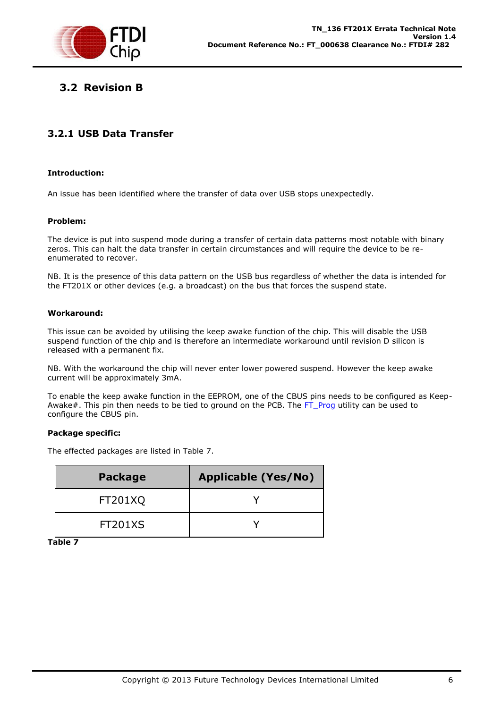

# <span id="page-6-0"></span>**3.2 Revision B**

## <span id="page-6-1"></span>**3.2.1 USB Data Transfer**

#### **Introduction:**

An issue has been identified where the transfer of data over USB stops unexpectedly.

#### **Problem:**

The device is put into suspend mode during a transfer of certain data patterns most notable with binary zeros. This can halt the data transfer in certain circumstances and will require the device to be reenumerated to recover.

NB. It is the presence of this data pattern on the USB bus regardless of whether the data is intended for the FT201X or other devices (e.g. a broadcast) on the bus that forces the suspend state.

#### **Workaround:**

This issue can be avoided by utilising the keep awake function of the chip. This will disable the USB suspend function of the chip and is therefore an intermediate workaround until revision D silicon is released with a permanent fix.

NB. With the workaround the chip will never enter lower powered suspend. However the keep awake current will be approximately 3mA.

To enable the keep awake function in the EEPROM, one of the CBUS pins needs to be configured as Keep-Awake#. This pin then needs to be tied to ground on the PCB. The [FT\\_Prog](http://www.ftdichip.com/Support/Utilities.htm) utility can be used to configure the CBUS pin.

#### **Package specific:**

The effected packages are listed in Table 7.

| <b>Package</b> | <b>Applicable (Yes/No)</b> |
|----------------|----------------------------|
| <b>FT201XQ</b> |                            |
| <b>FT201XS</b> |                            |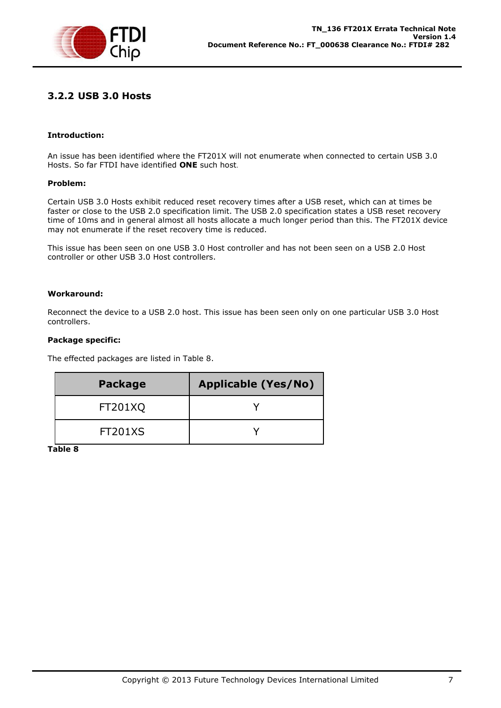

### <span id="page-7-0"></span>**3.2.2 USB 3.0 Hosts**

#### **Introduction:**

An issue has been identified where the FT201X will not enumerate when connected to certain USB 3.0 Hosts. So far FTDI have identified **ONE** such host.

#### **Problem:**

Certain USB 3.0 Hosts exhibit reduced reset recovery times after a USB reset, which can at times be faster or close to the USB 2.0 specification limit. The USB 2.0 specification states a USB reset recovery time of 10ms and in general almost all hosts allocate a much longer period than this. The FT201X device may not enumerate if the reset recovery time is reduced.

This issue has been seen on one USB 3.0 Host controller and has not been seen on a USB 2.0 Host controller or other USB 3.0 Host controllers.

#### **Workaround:**

Reconnect the device to a USB 2.0 host. This issue has been seen only on one particular USB 3.0 Host controllers.

#### **Package specific:**

The effected packages are listed in Table 8.

| <b>Package</b> | <b>Applicable (Yes/No)</b> |
|----------------|----------------------------|
| <b>FT201XQ</b> |                            |
| <b>FT201XS</b> |                            |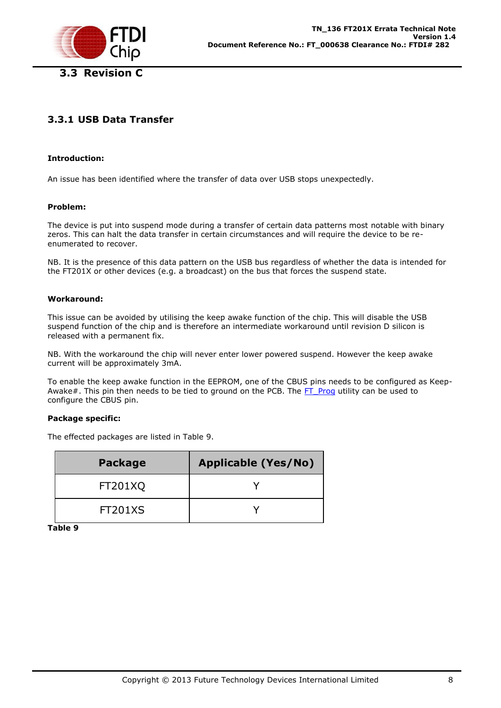<span id="page-8-0"></span>

# <span id="page-8-1"></span>**3.3.1 USB Data Transfer**

#### **Introduction:**

An issue has been identified where the transfer of data over USB stops unexpectedly.

#### **Problem:**

The device is put into suspend mode during a transfer of certain data patterns most notable with binary zeros. This can halt the data transfer in certain circumstances and will require the device to be reenumerated to recover.

NB. It is the presence of this data pattern on the USB bus regardless of whether the data is intended for the FT201X or other devices (e.g. a broadcast) on the bus that forces the suspend state.

#### **Workaround:**

This issue can be avoided by utilising the keep awake function of the chip. This will disable the USB suspend function of the chip and is therefore an intermediate workaround until revision D silicon is released with a permanent fix.

NB. With the workaround the chip will never enter lower powered suspend. However the keep awake current will be approximately 3mA.

To enable the keep awake function in the EEPROM, one of the CBUS pins needs to be configured as Keep-Awake#. This pin then needs to be tied to ground on the PCB. The FT Prog utility can be used to configure the CBUS pin.

#### **Package specific:**

The effected packages are listed in Table 9.

| <b>Package</b> | <b>Applicable (Yes/No)</b> |
|----------------|----------------------------|
| <b>FT201XQ</b> |                            |
| <b>FT201XS</b> |                            |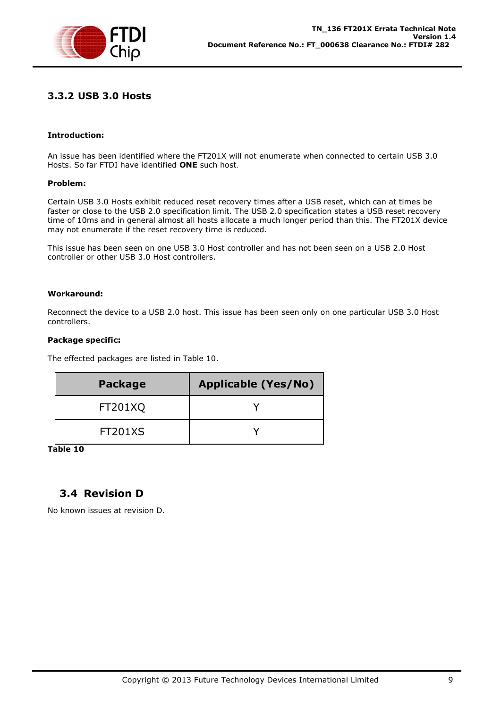

### <span id="page-9-0"></span>**3.3.2 USB 3.0 Hosts**

#### **Introduction:**

An issue has been identified where the FT201X will not enumerate when connected to certain USB 3.0 Hosts. So far FTDI have identified **ONE** such host.

#### **Problem:**

Certain USB 3.0 Hosts exhibit reduced reset recovery times after a USB reset, which can at times be faster or close to the USB 2.0 specification limit. The USB 2.0 specification states a USB reset recovery time of 10ms and in general almost all hosts allocate a much longer period than this. The FT201X device may not enumerate if the reset recovery time is reduced.

This issue has been seen on one USB 3.0 Host controller and has not been seen on a USB 2.0 Host controller or other USB 3.0 Host controllers.

#### **Workaround:**

Reconnect the device to a USB 2.0 host. This issue has been seen only on one particular USB 3.0 Host controllers.

#### **Package specific:**

The effected packages are listed in Table 10.

| <b>Package</b> | <b>Applicable (Yes/No)</b> |
|----------------|----------------------------|
| <b>FT201XQ</b> |                            |
| <b>FT201XS</b> |                            |

**Table 10**

## <span id="page-9-1"></span>**3.4 Revision D**

No known issues at revision D.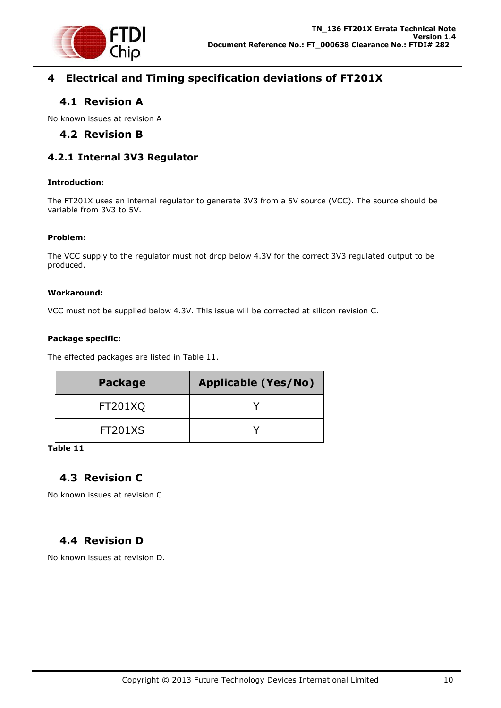

# <span id="page-10-0"></span>**4 Electrical and Timing specification deviations of FT201X**

# <span id="page-10-1"></span>**4.1 Revision A**

<span id="page-10-2"></span>No known issues at revision A

# **4.2 Revision B**

### <span id="page-10-3"></span>**4.2.1 Internal 3V3 Regulator**

#### **Introduction:**

The FT201X uses an internal regulator to generate 3V3 from a 5V source (VCC). The source should be variable from 3V3 to 5V.

#### **Problem:**

The VCC supply to the regulator must not drop below 4.3V for the correct 3V3 regulated output to be produced.

#### **Workaround:**

VCC must not be supplied below 4.3V. This issue will be corrected at silicon revision C.

#### **Package specific:**

The effected packages are listed in Table 11.

| <b>Package</b> | <b>Applicable (Yes/No)</b> |
|----------------|----------------------------|
| <b>FT201XQ</b> |                            |
| <b>FT201XS</b> |                            |

#### **Table 11**

# <span id="page-10-4"></span>**4.3 Revision C**

No known issues at revision C

# <span id="page-10-5"></span>**4.4 Revision D**

No known issues at revision D.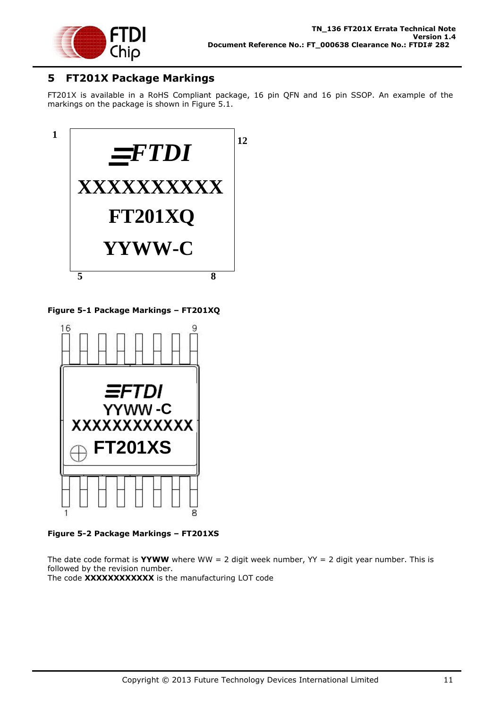

# <span id="page-11-0"></span>**5 FT201X Package Markings**

FT201X is available in a RoHS Compliant package, 16 pin QFN and 16 pin SSOP. An example of the markings on the package is shown in Figure 5.1.



**Figure 5-1 Package Markings – FT201XQ**



**Figure 5-2 Package Markings – FT201XS**

The date code format is **YYWW** where WW = 2 digit week number,  $YY = 2$  digit year number. This is followed by the revision number. The code **XXXXXXXXXXXX** is the manufacturing LOT code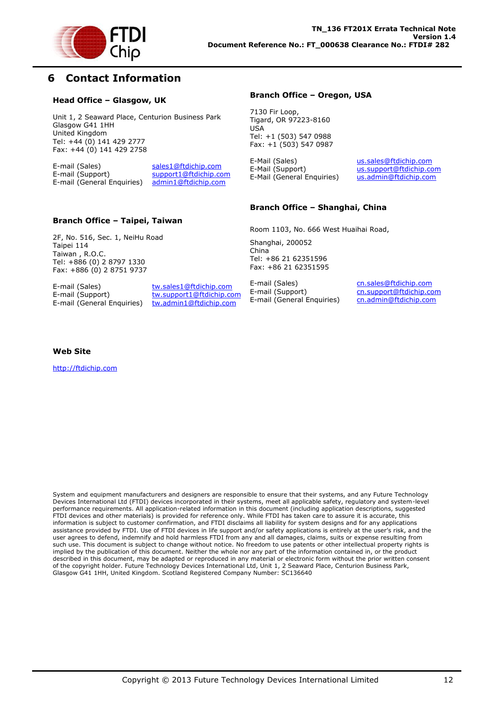

# <span id="page-12-0"></span>**6 Contact Information**

#### **Head Office – Glasgow, UK**

Unit 1, 2 Seaward Place, Centurion Business Park Glasgow G41 1HH United Kingdom Tel: +44 (0) 141 429 2777 Fax: +44 (0) 141 429 2758

E-mail (Sales) sales1@ftdichip.com E-mail (Support) support1@ftdichip.com<br>E-mail (General Enquiries) admin1@ftdichip.com E-mail (General Enquiries)

E-mail (Sales) tw.sales1@ftdichip.com E-mail (Support) tw.support1@ftdichip.com<br>E-mail (General Enguiries) tw.admin1@ftdichip.com

tw.admin1@ftdichip.com

**Branch Office – Taipei, Taiwan**

2F, No. 516, Sec. 1, NeiHu Road

Tel: +886 (0) 2 8797 1330 Fax: +886 (0) 2 8751 9737

#### **Branch Office – Oregon, USA**

7130 Fir Loop, Tigard, OR 97223-8160 USA Tel: +1 (503) 547 0988 Fax: +1 (503) 547 0987

E-Mail (Sales) us.sales@ftdichip.com<br>E-Mail (Support) us.support@ftdichip.com E-Mail (General Enquiries) us.admin@ftdichip.com

us.support@ftdichip.com

#### **Branch Office – Shanghai, China**

Room 1103, No. 666 West Huaihai Road,

Shanghai, 200052 China Tel: +86 21 62351596 Fax: +86 21 62351595

E-mail (Sales) cn.sales@ftdichip.com E-mail (Support) cn.support@ftdichip.com E-mail (General Enquiries) cn.admin@ftdichip.com

#### **Web Site**

Taipei 114 Taiwan , R.O.C.

http://ftdichip.com

System and equipment manufacturers and designers are responsible to ensure that their systems, and any Future Technology Devices International Ltd (FTDI) devices incorporated in their systems, meet all applicable safety, regulatory and system-level performance requirements. All application-related information in this document (including application descriptions, suggested FTDI devices and other materials) is provided for reference only. While FTDI has taken care to assure it is accurate, this information is subject to customer confirmation, and FTDI disclaims all liability for system designs and for any applications assistance provided by FTDI. Use of FTDI devices in life support and/or safety applications is entirely at the user's risk, and the user agrees to defend, indemnify and hold harmless FTDI from any and all damages, claims, suits or expense resulting from such use. This document is subject to change without notice. No freedom to use patents or other intellectual property rights is implied by the publication of this document. Neither the whole nor any part of the information contained in, or the product described in this document, may be adapted or reproduced in any material or electronic form without the prior written consent of the copyright holder. Future Technology Devices International Ltd, Unit 1, 2 Seaward Place, Centurion Business Park, Glasgow G41 1HH, United Kingdom. Scotland Registered Company Number: SC136640